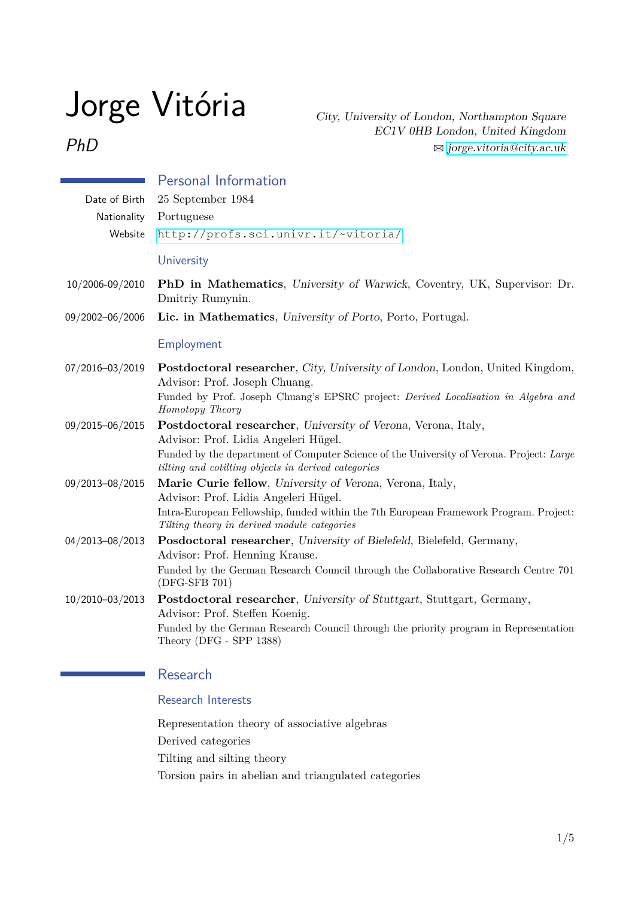# Jorge Vitória

PhD

City, University of London, Northampton Square EC1V 0HB London, United Kingdom  $\boxtimes$  [jorge.vitoria@city.ac.uk](mailto:jorge.vitoria@city.ac.uk)

| Date of Birth<br>Nationality | <b>Personal Information</b><br>25 September 1984<br>Portuguese                                                                                                                                                                                           |  |
|------------------------------|----------------------------------------------------------------------------------------------------------------------------------------------------------------------------------------------------------------------------------------------------------|--|
| Website                      | http://profs.sci.univr.it/~vitoria/                                                                                                                                                                                                                      |  |
|                              | University                                                                                                                                                                                                                                               |  |
| 10/2006-09/2010              | <b>PhD</b> in Mathematics, University of Warwick, Coventry, UK, Supervisor: Dr.<br>Dmitriy Rumynin.                                                                                                                                                      |  |
| 09/2002-06/2006              | Lic. in Mathematics, University of Porto, Porto, Portugal.                                                                                                                                                                                               |  |
|                              | Employment                                                                                                                                                                                                                                               |  |
| 07/2016-03/2019              | <b>Postdoctoral researcher, City, University of London, London, United Kingdom,</b><br>Advisor: Prof. Joseph Chuang.<br>Funded by Prof. Joseph Chuang's EPSRC project: Derived Localisation in Algebra and<br>Homotopy Theory                            |  |
| 09/2015-06/2015              | Postdoctoral researcher, University of Verona, Verona, Italy,<br>Advisor: Prof. Lidia Angeleri Hügel.<br>Funded by the department of Computer Science of the University of Verona. Project: Large<br>tilting and cotilting objects in derived categories |  |
| 09/2013-08/2015              | Marie Curie fellow, University of Verona, Verona, Italy,<br>Advisor: Prof. Lidia Angeleri Hügel.<br>Intra-European Fellowship, funded within the 7th European Framework Program. Project:<br>Tilting theory in derived module categories                 |  |
| 04/2013-08/2013              | <b>Posdoctoral researcher</b> , University of Bielefeld, Bielefeld, Germany,<br>Advisor: Prof. Henning Krause.<br>Funded by the German Research Council through the Collaborative Research Centre 701<br>(DFG-SFB 701)                                   |  |
| 10/2010-03/2013              | Postdoctoral researcher, University of Stuttgart, Stuttgart, Germany,<br>Advisor: Prof. Steffen Koenig.<br>Funded by the German Research Council through the priority program in Representation<br>Theory (DFG - SPP 1388)                               |  |

# Research

## Research Interests

Representation theory of associative algebras Derived categories Tilting and silting theory Torsion pairs in abelian and triangulated categories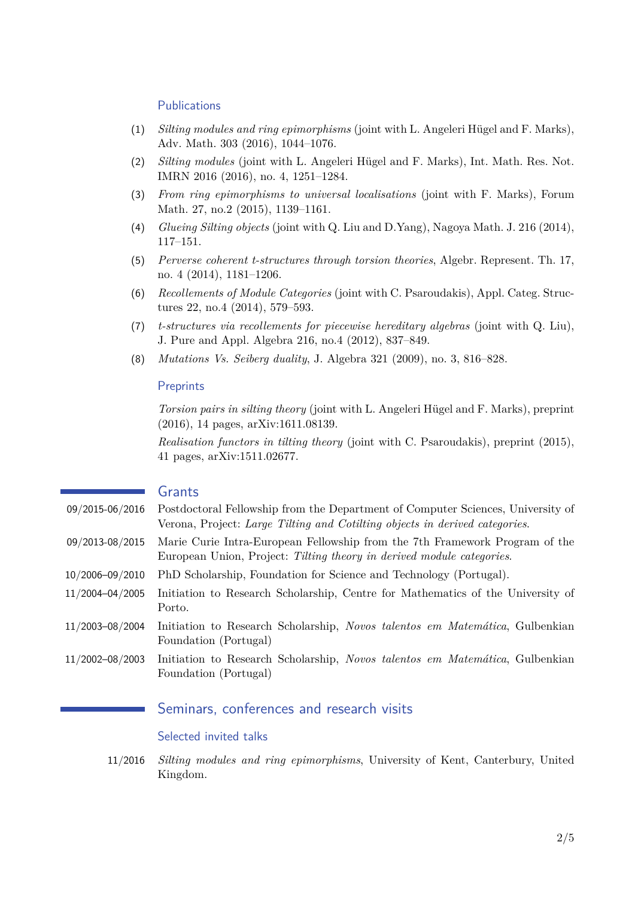#### **Publications**

- (1) *Silting modules and ring epimorphisms* (joint with L. Angeleri Hügel and F. Marks), Adv. Math. 303 (2016), 1044–1076.
- (2) *Silting modules* (joint with L. Angeleri Hügel and F. Marks), Int. Math. Res. Not. IMRN 2016 (2016), no. 4, 1251–1284.
- (3) *From ring epimorphisms to universal localisations* (joint with F. Marks), Forum Math. 27, no.2 (2015), 1139–1161.
- (4) *Glueing Silting objects* (joint with Q. Liu and D.Yang), Nagoya Math. J. 216 (2014), 117–151.
- (5) *Perverse coherent t-structures through torsion theories*, Algebr. Represent. Th. 17, no. 4 (2014), 1181–1206.
- (6) *Recollements of Module Categories* (joint with C. Psaroudakis), Appl. Categ. Structures 22, no.4 (2014), 579–593.
- (7) *t-structures via recollements for piecewise hereditary algebras* (joint with Q. Liu), J. Pure and Appl. Algebra 216, no.4 (2012), 837–849.
- (8) *Mutations Vs. Seiberg duality*, J. Algebra 321 (2009), no. 3, 816–828.

#### **Preprints**

*Torsion pairs in silting theory* (joint with L. Angeleri Hügel and F. Marks), preprint (2016), 14 pages, arXiv:1611.08139.

*Realisation functors in tilting theory* (joint with C. Psaroudakis), preprint (2015), 41 pages, arXiv:1511.02677.

#### Grants

- 09/2015-06/2016 Postdoctoral Fellowship from the Department of Computer Sciences, University of Verona, Project: *Large Tilting and Cotilting objects in derived categories*.
- 09/2013-08/2015 Marie Curie Intra-European Fellowship from the 7th Framework Program of the European Union, Project: *Tilting theory in derived module categories*.
- 10/2006–09/2010 PhD Scholarship, Foundation for Science and Technology (Portugal).
- 11/2004–04/2005 Initiation to Research Scholarship, Centre for Mathematics of the University of Porto.
- 11/2003–08/2004 Initiation to Research Scholarship, *Novos talentos em Matemática*, Gulbenkian Foundation (Portugal)
- 11/2002–08/2003 Initiation to Research Scholarship, *Novos talentos em Matemática*, Gulbenkian Foundation (Portugal)

## Seminars, conferences and research visits

#### Selected invited talks

11/2016 *Silting modules and ring epimorphisms*, University of Kent, Canterbury, United Kingdom.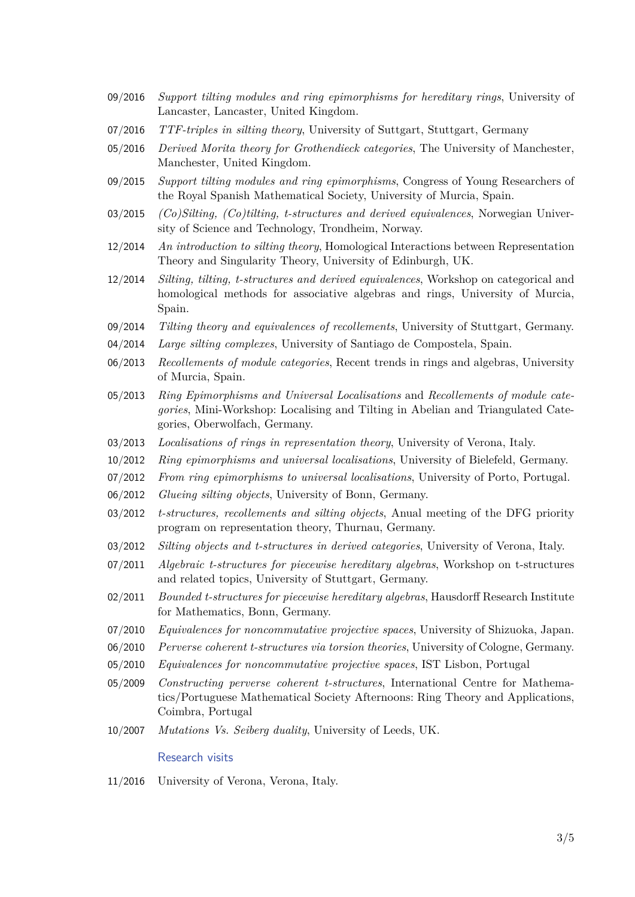- 09/2016 *Support tilting modules and ring epimorphisms for hereditary rings*, University of Lancaster, Lancaster, United Kingdom.
- 07/2016 *TTF-triples in silting theory*, University of Suttgart, Stuttgart, Germany
- 05/2016 *Derived Morita theory for Grothendieck categories*, The University of Manchester, Manchester, United Kingdom.
- 09/2015 *Support tilting modules and ring epimorphisms*, Congress of Young Researchers of the Royal Spanish Mathematical Society, University of Murcia, Spain.
- 03/2015 *(Co)Silting, (Co)tilting, t-structures and derived equivalences*, Norwegian University of Science and Technology, Trondheim, Norway.
- 12/2014 *An introduction to silting theory*, Homological Interactions between Representation Theory and Singularity Theory, University of Edinburgh, UK.
- 12/2014 *Silting, tilting, t-structures and derived equivalences*, Workshop on categorical and homological methods for associative algebras and rings, University of Murcia, Spain.
- 09/2014 *Tilting theory and equivalences of recollements*, University of Stuttgart, Germany.
- 04/2014 *Large silting complexes*, University of Santiago de Compostela, Spain.
- 06/2013 *Recollements of module categories*, Recent trends in rings and algebras, University of Murcia, Spain.
- 05/2013 *Ring Epimorphisms and Universal Localisations* and *Recollements of module categories*, Mini-Workshop: Localising and Tilting in Abelian and Triangulated Categories, Oberwolfach, Germany.
- 03/2013 *Localisations of rings in representation theory*, University of Verona, Italy.
- 10/2012 *Ring epimorphisms and universal localisations*, University of Bielefeld, Germany.
- 07/2012 *From ring epimorphisms to universal localisations*, University of Porto, Portugal.
- 06/2012 *Glueing silting objects*, University of Bonn, Germany.
- 03/2012 *t-structures, recollements and silting objects*, Anual meeting of the DFG priority program on representation theory, Thurnau, Germany.
- 03/2012 *Silting objects and t-structures in derived categories*, University of Verona, Italy.
- 07/2011 *Algebraic t-structures for piecewise hereditary algebras*, Workshop on t-structures and related topics, University of Stuttgart, Germany.
- 02/2011 *Bounded t-structures for piecewise hereditary algebras*, Hausdorff Research Institute for Mathematics, Bonn, Germany.
- 07/2010 *Equivalences for noncommutative projective spaces*, University of Shizuoka, Japan.
- 06/2010 *Perverse coherent t-structures via torsion theories*, University of Cologne, Germany.
- 05/2010 *Equivalences for noncommutative projective spaces*, IST Lisbon, Portugal
- 05/2009 *Constructing perverse coherent t-structures*, International Centre for Mathematics/Portuguese Mathematical Society Afternoons: Ring Theory and Applications, Coimbra, Portugal
- 10/2007 *Mutations Vs. Seiberg duality*, University of Leeds, UK.

Research visits

11/2016 University of Verona, Verona, Italy.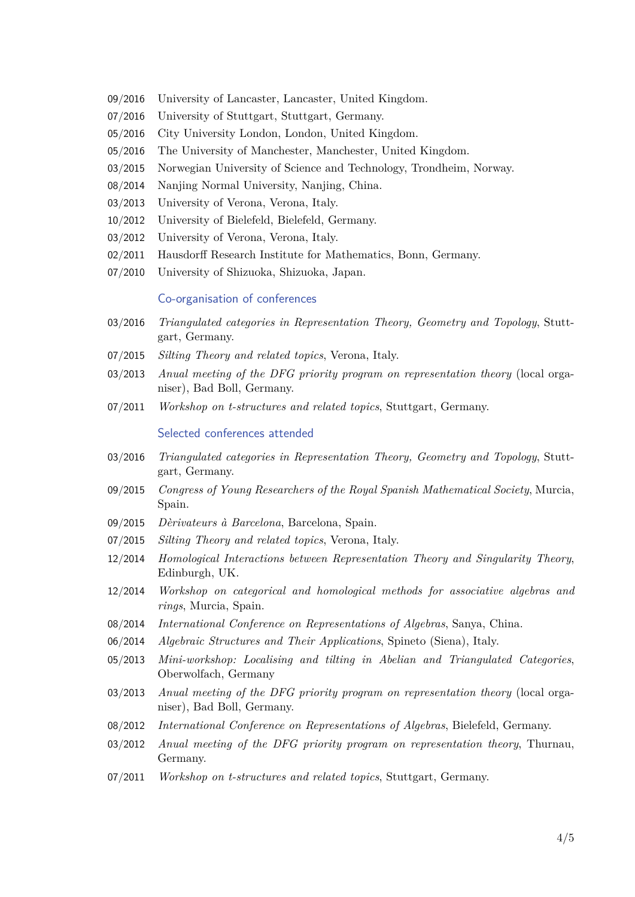- 09/2016 University of Lancaster, Lancaster, United Kingdom.
- 07/2016 University of Stuttgart, Stuttgart, Germany.
- 05/2016 City University London, London, United Kingdom.
- 05/2016 The University of Manchester, Manchester, United Kingdom.
- 03/2015 Norwegian University of Science and Technology, Trondheim, Norway.
- 08/2014 Nanjing Normal University, Nanjing, China.
- 03/2013 University of Verona, Verona, Italy.
- 10/2012 University of Bielefeld, Bielefeld, Germany.
- 03/2012 University of Verona, Verona, Italy.
- 02/2011 Hausdorff Research Institute for Mathematics, Bonn, Germany.
- 07/2010 University of Shizuoka, Shizuoka, Japan.

#### Co-organisation of conferences

- 03/2016 *Triangulated categories in Representation Theory, Geometry and Topology*, Stuttgart, Germany.
- 07/2015 *Silting Theory and related topics*, Verona, Italy.
- 03/2013 *Anual meeting of the DFG priority program on representation theory* (local organiser), Bad Boll, Germany.
- 07/2011 *Workshop on t-structures and related topics*, Stuttgart, Germany.

#### Selected conferences attended

- 03/2016 *Triangulated categories in Representation Theory, Geometry and Topology*, Stuttgart, Germany.
- 09/2015 *Congress of Young Researchers of the Royal Spanish Mathematical Society*, Murcia, Spain.
- 09/2015 *Dèrivateurs à Barcelona*, Barcelona, Spain.
- 07/2015 *Silting Theory and related topics*, Verona, Italy.
- 12/2014 *Homological Interactions between Representation Theory and Singularity Theory*, Edinburgh, UK.
- 12/2014 *Workshop on categorical and homological methods for associative algebras and rings*, Murcia, Spain.
- 08/2014 *International Conference on Representations of Algebras*, Sanya, China.
- 06/2014 *Algebraic Structures and Their Applications*, Spineto (Siena), Italy.
- 05/2013 *Mini-workshop: Localising and tilting in Abelian and Triangulated Categories*, Oberwolfach, Germany
- 03/2013 *Anual meeting of the DFG priority program on representation theory* (local organiser), Bad Boll, Germany.
- 08/2012 *International Conference on Representations of Algebras*, Bielefeld, Germany.
- 03/2012 *Anual meeting of the DFG priority program on representation theory*, Thurnau, Germany.
- 07/2011 *Workshop on t-structures and related topics*, Stuttgart, Germany.